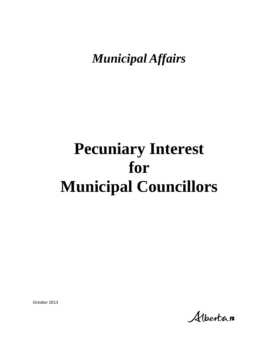*Municipal Affairs*

# **Pecuniary Interest for Municipal Councillors**

October 2013

Albertan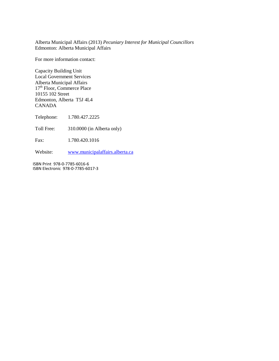Alberta Municipal Affairs (2013) *Pecuniary Interest for Municipal Councillors* Edmonton: Alberta Municipal Affairs

For more information contact:

Capacity Building Unit Local Government Services Alberta Municipal Affairs 17<sup>th</sup> Floor, Commerce Place 10155 102 Street Edmonton, Alberta T5J 4L4 CANADA

Telephone: 1.780.427.2225

Toll Free: 310.0000 (in Alberta only)

Fax: 1.780.420.1016

Website: [www.municipalaffairs.alberta.ca](http://www.municipalaffairs.alberta.ca/)

ISBN Print 978-0-7785-6016-6 ISBN Electronic 978-0-7785-6017-3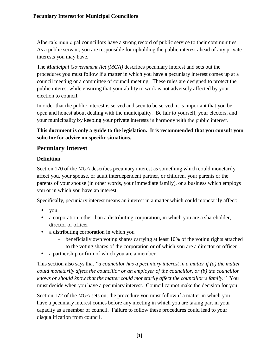Alberta's municipal councillors have a strong record of public service to their communities. As a public servant, you are responsible for upholding the public interest ahead of any private interests you may have.

The *Municipal Government Act (MGA)* describes pecuniary interest and sets out the procedures you must follow if a matter in which you have a pecuniary interest comes up at a council meeting or a committee of council meeting. These rules are designed to protect the public interest while ensuring that your ability to work is not adversely affected by your election to council.

In order that the public interest is served and seen to be served, it is important that you be open and honest about dealing with the municipality. Be fair to yourself, your electors, and your municipality by keeping your private interests in harmony with the public interest.

#### **This document is only a guide to the legislation. It is recommended that you consult your solicitor for advice on specific situations.**

## **Pecuniary Interest**

#### **Definition**

Section 170 of the *MGA* describes pecuniary interest as something which could monetarily affect you, your spouse, or adult interdependent partner, or children, your parents or the parents of your spouse (in other words, your immediate family), or a business which employs you or in which you have an interest.

Specifically, pecuniary interest means an interest in a matter which could monetarily affect:

- you
- a corporation, other than a distributing corporation, in which you are a shareholder, director or officer
- a distributing corporation in which you
	- beneficially own voting shares carrying at least 10% of the voting rights attached to the voting shares of the corporation or of which you are a director or officer
- a partnership or firm of which you are a member.

This section also says that *"a councillor has a pecuniary interest in a matter if (a) the matter could monetarily affect the councillor or an employer of the councillor, or (b) the councillor knows or should know that the matter could monetarily affect the councillor's family."* You must decide when you have a pecuniary interest. Council cannot make the decision for you.

Section 172 of the *MGA* sets out the procedure you must follow if a matter in which you have a pecuniary interest comes before any meeting in which you are taking part in your capacity as a member of council. Failure to follow these procedures could lead to your disqualification from council.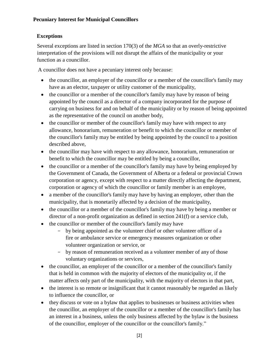## **Exceptions**

Several exceptions are listed in section 170(3) of the *MGA* so that an overly-restrictive interpretation of the provisions will not disrupt the affairs of the municipality or your function as a councillor.

A councillor does not have a pecuniary interest only because:

- the councillor, an employer of the councillor or a member of the councillor's family may have as an elector, taxpayer or utility customer of the municipality,
- the councillor or a member of the councillor's family may have by reason of being appointed by the council as a director of a company incorporated for the purpose of carrying on business for and on behalf of the municipality or by reason of being appointed as the representative of the council on another body,
- the councillor or member of the councillor's family may have with respect to any allowance, honorarium, remuneration or benefit to which the councillor or member of the councillor's family may be entitled by being appointed by the council to a position described above,
- the councillor may have with respect to any allowance, honorarium, remuneration or benefit to which the councillor may be entitled by being a councillor,
- the councillor or a member of the councillor's family may have by being employed by the Government of Canada, the Government of Alberta or a federal or provincial Crown corporation or agency, except with respect to a matter directly affecting the department, corporation or agency of which the councillor or family member is an employee,
- a member of the councillor's family may have by having an employer, other than the municipality, that is monetarily affected by a decision of the municipality,
- the councillor or a member of the councillor's family may have by being a member or director of a non-profit organization as defined in section 241(f) or a service club,
- the councillor or member of the councillor's family may have
	- by being appointed as the volunteer chief or other volunteer officer of a fire or ambulance service or emergency measures organization or other volunteer organization or service, or
	- by reason of remuneration received as a volunteer member of any of those voluntary organizations or services,
- the councillor, an employer of the councillor or a member of the councillor's family that is held in common with the majority of electors of the municipality or, if the matter affects only part of the municipality, with the majority of electors in that part,
- the interest is so remote or insignificant that it cannot reasonably be regarded as likely to influence the councillor, or
- they discuss or vote on a bylaw that applies to businesses or business activities when the councillor, an employer of the councillor or a member of the councillor's family has an interest in a business, unless the only business affected by the bylaw is the business of the councillor, employer of the councillor or the councillor's family."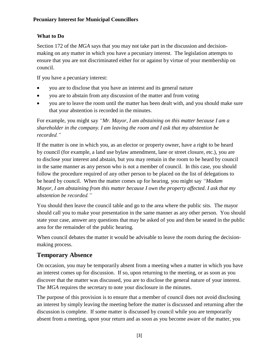## **What to Do**

Section 172 of the *MGA* says that you may not take part in the discussion and decisionmaking on any matter in which you have a pecuniary interest. The legislation attempts to ensure that you are not discriminated either for or against by virtue of your membership on council.

If you have a pecuniary interest:

- you are to disclose that you have an interest and its general nature
- you are to abstain from any discussion of the matter and from voting
- you are to leave the room until the matter has been dealt with, and you should make sure that your abstention is recorded in the minutes.

For example, you might say *"Mr. Mayor, I am abstaining on this matter because I am a shareholder in the company. I am leaving the room and I ask that my abstention be recorded."*

If the matter is one in which you, as an elector or property owner, have a right to be heard by council (for example, a land use bylaw amendment, lane or street closure, etc.), you are to disclose your interest and abstain, but you may remain in the room to be heard by council in the same manner as any person who is not a member of council. In this case, you should follow the procedure required of any other person to be placed on the list of delegations to be heard by council. When the matter comes up for hearing, you might say *"Madam Mayor, I am abstaining from this matter because I own the property affected. I ask that my abstention be recorded."*

You should then leave the council table and go to the area where the public sits. The mayor should call you to make your presentation in the same manner as any other person. You should state your case, answer any questions that may be asked of you and then be seated in the public area for the remainder of the public hearing.

When council debates the matter it would be advisable to leave the room during the decisionmaking process.

## **Temporary Absence**

On occasion, you may be temporarily absent from a meeting when a matter in which you have an interest comes up for discussion. If so, upon returning to the meeting, or as soon as you discover that the matter was discussed, you are to disclose the general nature of your interest. The *MGA* requires the secretary to note your disclosure in the minutes.

The purpose of this provision is to ensure that a member of council does not avoid disclosing an interest by simply leaving the meeting before the matter is discussed and returning after the discussion is complete. If some matter is discussed by council while you are temporarily absent from a meeting, upon your return and as soon as you become aware of the matter, you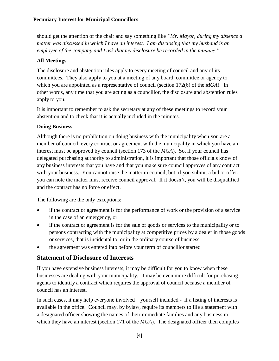should get the attention of the chair and say something like *"Mr. Mayor, during my absence a matter was discussed in which I have an interest. I am disclosing that my husband is an employee of the company and I ask that my disclosure be recorded in the minutes."*

## **All Meetings**

The disclosure and abstention rules apply to every meeting of council and any of its committees. They also apply to you at a meeting of any board, committee or agency to which you are appointed as a representative of council (section 172(6) of the *MGA*). In other words, any time that you are acting as a councillor, the disclosure and abstention rules apply to you.

It is important to remember to ask the secretary at any of these meetings to record your abstention and to check that it is actually included in the minutes.

## **Doing Business**

Although there is no prohibition on doing business with the municipality when you are a member of council, every contract or agreement with the municipality in which you have an interest must be approved by council (section 173 of the *MGA*). So, if your council has delegated purchasing authority to administration, it is important that those officials know of any business interests that you have and that you make sure council approves of any contract with your business. You cannot raise the matter in council, but, if you submit a bid or offer, you can note the matter must receive council approval. If it doesn't, you will be disqualified and the contract has no force or effect.

The following are the only exceptions:

- if the contract or agreement is for the performance of work or the provision of a service in the case of an emergency, or
- if the contract or agreement is for the sale of goods or services to the municipality or to persons contracting with the municipality at competitive prices by a dealer in those goods or services, that is incidental to, or in the ordinary course of business
- the agreement was entered into before your term of councillor started

## **Statement of Disclosure of Interests**

If you have extensive business interests, it may be difficult for you to know when these businesses are dealing with your municipality. It may be even more difficult for purchasing agents to identify a contract which requires the approval of council because a member of council has an interest.

In such cases, it may help everyone involved – yourself included - if a listing of interests is available in the office. Council may, by bylaw, require its members to file a statement with a designated officer showing the names of their immediate families and any business in which they have an interest (section 171 of the *MGA*). The designated officer then compiles